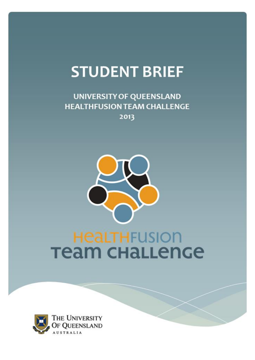# **STUDENT BRIEF**

**UNIVERSITY OF QUEENSLAND HEALTHFUSION TEAM CHALLENGE** 2013



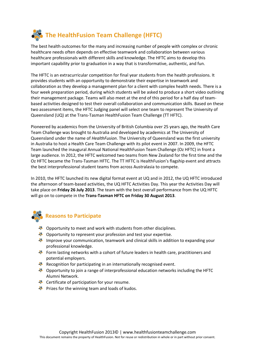

The best health outcomes for the many and increasing number of people with complex or chronic healthcare needs often depends on effective teamwork and collaboration between various healthcare professionals with different skills and knowledge. The HFTC aims to develop this important capability prior to graduation in a way that is transformative, authentic, and fun.

The HFTC is an extracurricular competition for final year students from the health professions. It provides students with an opportunity to demonstrate their expertise in teamwork and collaboration as they develop a management plan for a client with complex health needs. There is a four week preparation period, during which students will be asked to produce a short video outlining their management package. Teams will also meet at the end of this period for a half day of teambased activities designed to test their overall collaboration and communication skills. Based on these two assessment items, the HFTC Judging panel will select one team to represent The University of Queensland (UQ) at the Trans-Tasman HealthFusion Team Challenge (TT HFTC).

Pioneered by academics from the University of British Columbia over 25 years ago, the Health Care Team Challenge was brought to Australia and developed by academics at The University of Queensland under the name of *HealthFusion*. The University of Queensland was the first university in Australia to host a Health Care Team Challenge with its pilot event in 2007. In 2009, the HFTC Team launched the inaugural Annual National HealthFusion Team Challenge (Oz HFTC) in front a large audience. In 2012, the HFTC welcomed two teams from New Zealand for the first time and the Oz HFTC became the Trans-Tasman HFTC. The TT HFTC is HealthFusion's flagship event and attracts the best interprofessional student teams from across Australasia to compete.

In 2010, the HFTC launched its new digital format event at UQ and in 2012, the UQ HFTC introduced the afternoon of team-based activities, the UQ HFTC Activities Day. This year the Activities Day will take place on **Friday 26 July 2013**. The team with the best overall performance from the UQ HFTC will go on to compete in the **Trans-Tasman HFTC on Friday 30 August 2013**.

## **Reasons to Participate**

- **EX** Opportunity to meet and work with students from other disciplines.
- Opportunity to represent your profession and test your expertise.
- Improve your communication, teamwork and clinical skills in addition to expanding your professional knowledge.
- Form lasting networks with a cohort of future leaders in health care, practitioners and potential employers.
- Recognition for participating in an internationally recognised event.
- Opportunity to join a range of interprofessional education networks including the HFTC Alumni Network.
- **EX** Certificate of participation for your resume.
- Prizes for the winning team and loads of kudos.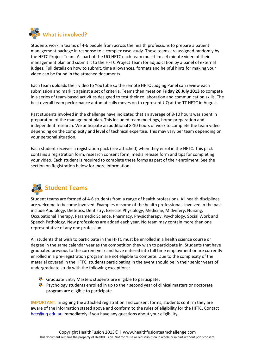

Students work in teams of 4-6 people from across the health professions to prepare a patient management package in response to a complex case study. These teams are assigned randomly by the HFTC Project Team. As part of the UQ HFTC each team must film a 4 minute video of their management plan and submit it to the HFTC Project Team for adjudication by a panel of external judges. Full details on how to submit, time allowances, formats and helpful hints for making your video can be found in the attached documents.

Each team uploads their video to YouTube so the remote HFTC Judging Panel can review each submission and mark it against a set of criteria. Teams then meet on **Friday 26 July 2013** to compete in a series of team-based activities designed to test their collaboration and communication skills. The best overall team performance automatically moves on to represent UQ at the TT HFTC in August.

Past students involved in the challenge have indicated that an average of 8-10 hours was spent in preparation of the management plan. This included team meetings, home preparation and independent research. We anticipate an additional 8-10 hours of work to complete the team video depending on the complexity and level of technical expertise. This may vary per team depending on your personal situation.

Each student receives a registration pack (see attached) when they enrol in the HFTC. This pack contains a registration form, research consent form, media release form and tips for completing your video. Each student is required to complete these forms as part of their enrolment. See the section on Registration below for more information.



Student teams are formed of 4-6 students from a range of health professions. All health disciplines are welcome to become involved. Examples of some of the health professionals involved in the past include Audiology, Dietetics, Dentistry, Exercise Physiology, Medicine, Midwifery, Nursing, Occupational Therapy, Paramedic Science, Pharmacy, Physiotherapy, Psychology, Social Work and Speech Pathology. New professions are added each year. No team may contain more than one representative of any one profession.

All students that wish to participate in the HFTC must be enrolled in a health science course or degree in the same calendar year as the competition they wish to participate in. Students that have graduated previous to the current year and have entered into full time employment or are currently enrolled in a pre-registration program are not eligible to compete. Due to the complexity of the material covered in the HFTC, students participating in the event should be in their senior years of undergraduate study with the following exceptions:

- Graduate Entry Masters students are eligible to participate.
- **Psychology students enrolled in up to their second year of clinical masters or doctorate** program are eligible to participate.

**IMPORTANT:** In signing the attached registration and consent forms, students confirm they are aware of the information stated above and conform to the rules of eligibility for the HFTC. Contact [hctc@uq.edu.au](mailto:hctc@uq.edu.au) immediately if you have any questions about your eligibility.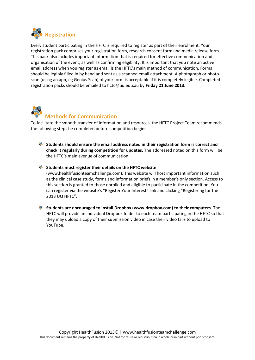

Every student participating in the HFTC is required to register as part of their enrolment. Your registration pack comprises your registration form, research consent form and media release form. This pack also includes important information that is required for effective communication and organisation of the event, as well as confirming eligibility. It is important that you note an active email address when you register as email is the HFTC's main method of communication. Forms should be legibly filled in by hand and sent as a scanned email attachment. A photograph or photoscan (using an app, eg Genius Scan) of your form is acceptable if it is completely legible. Completed registration packs should be emailed to hctc@uq.edu.au by **Friday 21 June 2013.**



## **Methods for Communication**

To facilitate the smooth transfer of information and resources, the HFTC Project Team recommends the following steps be completed before competition begins.

- **Students should ensure the email address noted in their registration form is correct and check it regularly during competition for updates**. The addressed noted on this form will be the HFTC's main avenue of communication.
- **Students must register their details on the HFTC website**

(www.healthfusionteamchallenge.com). This website will host important information such as the clinical case study, forms and information briefs in a member's only section. Access to this section is granted to those enrolled and eligible to participate in the competition. You can register via the website's "Register Your Interest" link and clicking "Registering for the 2013 UQ HFTC".

**Students are encouraged to install Dropbox (www.dropbox.com) to their computers**. The HFTC will provide an individual Dropbox folder to each team participating in the HFTC so that they may upload a copy of their submission video in case their video fails to upload to YouTube.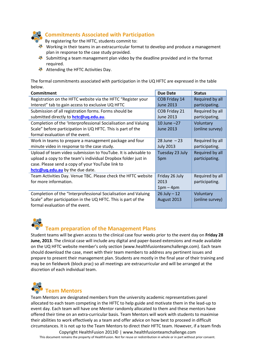

## **Commitments Associated with Participation**

By registering for the HFTC, students commit to:

- Working in their teams in an extracurricular format to develop and produce a management plan in response to the case study provided.
- Submitting a team management plan video by the deadline provided and in the format required.
- Attending the HFTC Activities Day.

The formal commitments associated with participation in the UQ HFTC are expressed in the table below.

| <b>Commitment</b>                                              | <b>Due Date</b>  | <b>Status</b>   |
|----------------------------------------------------------------|------------------|-----------------|
| Registration on the HFTC website via the HFTC "Register your   | COB Friday 14    | Required by all |
| Interest" tab to gain access to exclusive UQ HFTC              | <b>June 2013</b> | participating.  |
| Submission of all registration forms. Forms should be          | COB Friday 21    | Required by all |
| submitted directly to <b>hctc@uq.edu.au</b> .                  | June 2013        | participating.  |
| Completion of the 'Interprofessional Socialisation and Valuing | 10 June $-27$    | Voluntary       |
| Scale" before participation in UQ HFTC. This is part of the    | <b>June 2013</b> | (online survey) |
| formal evaluation of the event.                                |                  |                 |
| Work in teams to prepare a management package and four         | $28$ June $-23$  | Required by all |
| minute video in response to the case study.                    | <b>July 2013</b> | participating.  |
| Upload of team video submission to YouTube. It is advisable to | Tuesday 23 July  | Required by all |
| upload a copy to the team's individual Dropbox folder just in  | 5pm              | participating.  |
| case. Please send a copy of your YouTube link to               |                  |                 |
| hctc@uq.edu.au by the due date.                                |                  |                 |
| Team Activities Day. Venue TBC. Please check the HFTC website  | Friday 26 July   | Required by all |
| for more information.                                          | 2013             | participating.  |
|                                                                | $1pm-4pm$        |                 |
| Completion of the "Interprofessional Socialisation and Valuing | $26$ July $- 12$ | Voluntary       |
| Scale" after participation in the UQ HFTC. This is part of the | August 2013      | (online survey) |
| formal evaluation of the event.                                |                  |                 |



## **Team preparation of the Management Plans**

Student teams will be given access to the clinical case four weeks prior to the event day on **Friday 28 June, 2013**. The clinical case will include any digital and paper-based extensions and made available on the UQ HFTC website member's only section (www.healthfusionteamchallenge.com). Each team should download the case, meet with their team members to address any pertinent issues and prepare to present their management plan. Students are mostly in the final year of their training and may be on fieldwork (block prac) so all meetings are extracurricular and will be arranged at the discretion of each individual team.



Team Mentors are designated members from the university academic representatives panel allocated to each team competing in the HFTC to help guide and motivate them in the lead-up to event day. Each team will have one Mentor randomly allocated to them and these mentors have offered their time on an extra-curricular basis. Team Mentors will work with students to maximise their abilities to work effectively as a team and offer advice on how best to proceed in difficult circumstances. It is not up to the Team Mentors to direct their HFTC team. However, if a team finds

Copyright HealthFusion 2013© | www.healthfusionteamchallenge.com This document remains the property of HealthFusion. Not for reuse or redistribution in whole or in part without prior consent.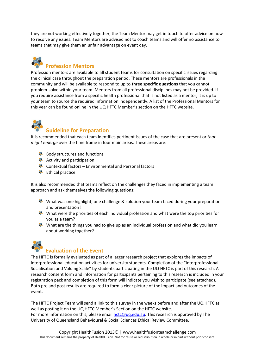they are not working effectively together, the Team Mentor may get in touch to offer advice on how to resolve any issues. Team Mentors are advised not to coach teams and will offer no assistance to teams that may give them an unfair advantage on event day.

## **Profession Mentors**

Profession mentors are available to all student teams for consultation on specific issues regarding the clinical case throughout the preparation period. These mentors are professionals in the community and will be available to respond to up to **three specific questions** that you cannot problem-solve within your team. Mentors from all professional disciplines may not be provided. If you require assistance from a specific health professional that is not listed as a mentor, it is up to your team to source the required information independently. A list of the Professional Mentors for this year can be found online in the UQ HFTC Member's section on the HFTC website.

## **Guideline for Preparation**

It is recommended that each team identifies pertinent issues of the case that are present or *that might emerge* over the time frame in four main areas. These areas are:

- Body structures and functions
- Activity and participation
- $\clubsuit$  Contextual factors Environmental and Personal factors
- **※** Ethical practice

It is also recommended that teams reflect on the challenges they faced in implementing a team approach and ask themselves the following questions:

- What was one highlight, one challenge & solution your team faced during your preparation and presentation?
- What were the priorities of each individual profession and what were the top priorities for you as a team?
- What are the things you had to give up as an individual profession and what did you learn about working together?



## **Evaluation of the Event**

The HFTC is formally evaluated as part of a larger research project that explores the impacts of interprofessional education activities for university students. Completion of the "Interprofessional Socialisation and Valuing Scale" by students participating in the UQ HFTC is part of this research. A research consent form and information for participants pertaining to this research is included in your registration pack and completion of this form will indicate you wish to participate (see attached). Both pre and post results are required to form a clear picture of the impact and outcomes of the event.

The HFTC Project Team will send a link to this survey in the weeks before and after the UQ HFTC as well as posting it on the UQ HFTC Member's Section on the HFTC website. For more information on this, please email [hctc@uq.edu.au.](mailto:hctc@uq.edu.au) This research is approved by The University of Queensland Behavioural & Social Sciences Ethical Review Committee.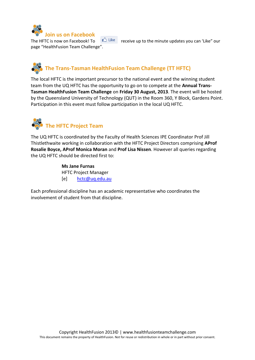

The HFTC is now on Facebook! To  $\mathbb{C}$  Like receive up to the minute updates you can 'Like" our page "HealthFusion Team Challenge".

## **The Trans-Tasman HealthFusion Team Challenge (TT HFTC)**

The local HFTC is the important precursor to the national event and the winning student team from the UQ HFTC has the opportunity to go on to compete at the **Annual Trans-Tasman HealthFusion Team Challenge** on **Friday 30 August, 2013**. The event will be hosted by the Queensland University of Technology (QUT) in the Room 360, Y Block, Gardens Point. Participation in this event must follow participation in the local UQ HFTC.



The UQ HFTC is coordinated by the Faculty of Health Sciences IPE Coordinator Prof Jill Thistlethwaite working in collaboration with the HFTC Project Directors comprising **AProf Rosalie Boyce, AProf Monica Moran** and **Prof Lisa Nissen**. However all queries regarding the UQ HFTC should be directed first to:

> **Ms Jane Furnas** HFTC Project Manager [e] [hctc@uq.edu.au](mailto:hctc@uq.edu.au)

Each professional discipline has an academic representative who coordinates the involvement of student from that discipline.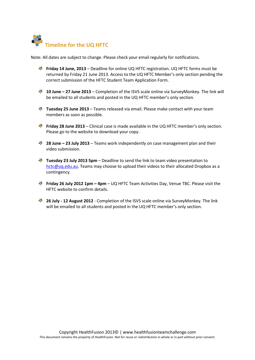

Note: All dates are subject to change. Please check your email regularly for notifications.

- **Friday 14 June, 2013** Deadline for online UQ HFTC registration. UQ HFTC forms must be returned by Friday 21 June 2013. Access to the UQ HFTC Member's only section pending the correct submission of the HFTC Student Team Application Form.
- **<sup>3</sup> 10 June 27 June 2013** Completion of the ISVS scale online via SurveyMonkey. The link will be emailed to all students and posted in the UQ HFTC member's only section.
- **Tuesday 25 June 2013** Teams released via email. Please make contact with your team members as soon as possible.
- **Friday 28 June 2013** Clinical case is made available in the UQ HFTC member's only section. Please go to the website to download your copy.
- **28 June 23 July 2013** Teams work independently on case management plan and their video submission.
- **Tuesday 23 July 2013 5pm**  Deadline to send the link to team video presentation to hctc@ug.edu.au. Teams may choose to upload their videos to their allocated Dropbox as a contingency.
- **Friday 26 July 2012 1pm 4pm UQ HFTC Team Activities Day, Venue TBC. Please visit the** HFTC website to confirm details.
- **26 July - 12 August 2012**  Completion of the ISVS scale online via SurveyMonkey. The link will be emailed to all students and posted in the UQ HFTC member's only section.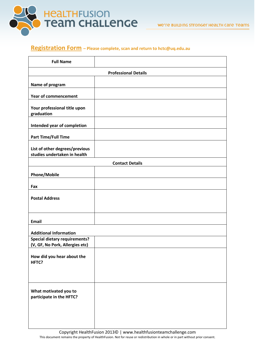

## **Registration Form – Please complete, scan and return to hctc@uq.edu.au**

| <b>Full Name</b>                                                        |                             |
|-------------------------------------------------------------------------|-----------------------------|
|                                                                         | <b>Professional Details</b> |
| Name of program                                                         |                             |
| <b>Year of commencement</b>                                             |                             |
| Your professional title upon<br>graduation                              |                             |
| Intended year of completion                                             |                             |
| <b>Part Time/Full Time</b>                                              |                             |
| List of other degrees/previous<br>studies undertaken in health          |                             |
|                                                                         | <b>Contact Details</b>      |
| <b>Phone/Mobile</b>                                                     |                             |
| Fax                                                                     |                             |
| <b>Postal Address</b>                                                   |                             |
| <b>Email</b>                                                            |                             |
| <b>Additional Information</b>                                           |                             |
| <b>Special dietary requirements?</b><br>(V, GF, No Pork, Allergies etc) |                             |
| How did you hear about the<br>HFTC?                                     |                             |
|                                                                         |                             |
| What motivated you to<br>participate in the HFTC?                       |                             |
|                                                                         |                             |
|                                                                         |                             |

Copyright HealthFusion 2013© | www.healthfusionteamchallenge.com This document remains the property of HealthFusion. Not for reuse or redistribution in whole or in part without prior consent.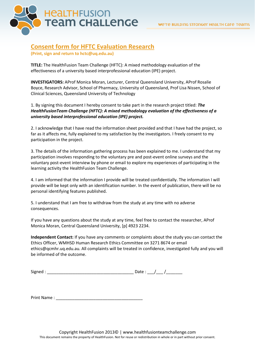

## **Consent form for HFTC Evaluation Research**

**(Print, sign and return to hctc@uq.edu.au)** 

**TITLE:** The HealthFusion Team Challenge (HFTC): A mixed methodology evaluation of the effectiveness of a university based interprofessional education (IPE) project.

**INVESTIGATORS:** AProf Monica Moran, Lecturer, Central Queensland University, AProf Rosalie Boyce, Research Advisor, School of Pharmacy, University of Queensland, Prof Lisa Nissen, School of Clinical Sciences, Queensland University of Technology

1. By signing this document I hereby consent to take part in the research project titled: *The HealthFusionTeam Challenge (HFTC): A mixed methodology evaluation of the effectiveness of a university based interprofessional education (IPE) project.* 

2. I acknowledge that I have read the information sheet provided and that I have had the project, so far as it affects me, fully explained to my satisfaction by the investigators. I freely consent to my participation in the project.

3. The details of the information gathering process has been explained to me. I understand that my participation involves responding to the voluntary pre and post-event online surveys and the voluntary post-event interview by phone or email to explore my experiences of participating in the learning activity the HealthFusion Team Challenge.

4. I am informed that the information I provide will be treated confidentially. The information I will provide will be kept only with an identification number. In the event of publication, there will be no personal identifying features published.

5. I understand that I am free to withdraw from the study at any time with no adverse consequences.

If you have any questions about the study at any time, feel free to contact the researcher, AProf Monica Moran, Central Queensland University, [p] 4923 2234.

**Independent Contact:** If you have any comments or complaints about the study you can contact the Ethics Officer, WMHSD Human Research Ethics Committee on 3271 8674 or email ethics@qcmhr.uq.edu.au. All complaints will be treated in confidence, investigated fully and you will be informed of the outcome.

| $\sim$ $\sim$<br>Signed |  |  |
|-------------------------|--|--|
|                         |  |  |

Print Name :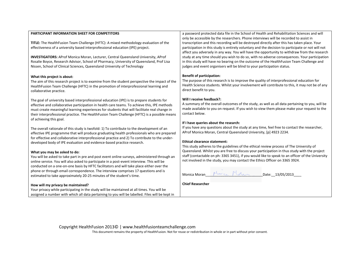#### **PARTICIPANT INFORMATION SHEET FOR COMPETITORS**

**TITLE:** The HealthFusion Team Challenge (HFTC): A mixed methodology evaluation of the effectiveness of a university based interprofessional education (IPE) project.

**INVESTIGATORS:** AProf Monica Moran, Lecturer, Central Queensland University, AProf Rosalie Boyce, Research Advisor, School of Pharmacy, University of Queensland, Prof Lisa Nissen, School of Clinical Sciences, Queensland University of Technology

#### **What this project is about:**

The aim of this research project is to examine from the student perspective the impact of the HealthFusion Team Challenge (HFTC) in the promotion of interprofessional learning and collaborative practice.

The goal of university based interprofessional education (IPE) is to prepare students for effective and collaborative participation in health care teams. To achieve this, IPE methods must create meaningful learning experiences for students that will facilitate real change in their interprofessional practice. The HealthFusion Team Challenge (HFTC) is a possible means of achieving this goal.

The overall rationale of this study is twofold: 1) To contribute to the development of an effective IPE programme that will produce graduating health professionals who are prepared for effective and collaborative interprofessional practice and 2) To contribute to the underdeveloped body of IPE evaluation and evidence-based practice research.

#### **What you may be asked to do:**

You will be asked to take part in pre and post event online surveys, administered through an online service. You will also asked to participate in a post-event interview. This will be conducted on a one-on-one basis by HFTC facilitators and will take place either over the phone or through email correspondence. The interview comprises 17 questions and is estimated to take approximately 20-25 minutes of the student's time.

#### **How will my privacy be maintained?**

Your privacy while participating in the study will be maintained at all times. You will be assigned a number with which all data pertaining to you will be labelled. Files will be kept in a password protected data file in the School of Health and Rehabilitation Sciences and will only be accessible by the researchers. Phone interviews will be recorded to assist in transcription and this recording will be destroyed directly after this has taken place. Your participation in this study is entirely voluntary and the decision to participate or not will not affect you adversely in any way. You will have the opportunity to withdraw from the research study at any time should you wish to do so, with no adverse consequences. Your participation in this study will have no bearing on the outcome of the HealthFusion Team Challenge and judges and event organisers will be blind to your participation status.

#### **Benefit of participation:**

The purpose of this research is to improve the quality of interprofessional education for Health Science students. Whilst your involvement will contribute to this, it may not be of any direct benefit to you.

#### **Will I receive feedback?:**

A summary of the overall outcomes of the study, as well as all data pertaining to you, will be made available to you on request. If you wish to view them please make your request to the contact below.

#### **If I have queries about the research:**

If you have any questions about the study at any time, feel free to contact the researcher, AProf Monica Moran, Central Queensland University, [p] 4923 2234.

#### **Ethical clearance statement:**

This study adheres to the guidelines of the ethical review process of The University of Queensland. Whilst you are free to discuss your participation in thus study with the project staff (contactable on ph: 3365 3451), if you would like to speak to an officer of the University not involved in the study, you may contact the Ethics Officer on 3365 3924.

Monica Moran  $M_{\text{max}}$   $M_{\text{max}}$  Date:  $13/05/2013$ 

**Chief Researcher** 

Copyright HealthFusion 2013© | www.healthfusionteamchallenge.com

This document remains the property of HealthFusion. Not for reuse or redistribution in whole or in part without prior consent.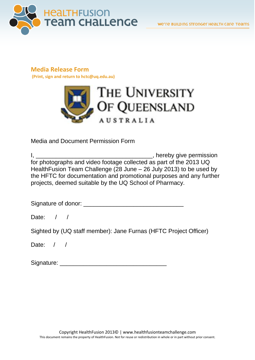

## **Media Release Form**

**(Print, sign and return to hctc@uq.edu.au)** 



Media and Document Permission Form

| hereby give permission                                              |
|---------------------------------------------------------------------|
| for photographs and video footage collected as part of the 2013 UQ  |
| HealthFusion Team Challenge (28 June – 26 July 2013) to be used by  |
| the HFTC for documentation and promotional purposes and any further |
| projects, deemed suitable by the UQ School of Pharmacy.             |

Signature of donor: \_\_\_\_\_\_\_\_\_\_\_\_\_\_\_\_\_\_\_\_\_\_\_\_\_\_\_\_\_\_

Date: / /

Sighted by (UQ staff member): Jane Furnas (HFTC Project Officer)

Date: / /

Signature: \_\_\_\_\_\_\_\_\_\_\_\_\_\_\_\_\_\_\_\_\_\_\_\_\_\_\_\_\_\_\_\_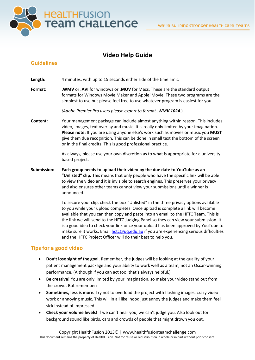

## **Video Help Guide**

## **Guidelines**

**Length:** 4 minutes, with up to 15 seconds either side of the time limit.

**Format: .WMV** or **.AVI** for windows or **.MOV** for Macs. These are the standard output formats for Windows Movie Maker and Apple iMovie. These two programs are the simplest to use but please feel free to use whatever program is easiest for you.

*(Adobe Premier Pro users please export to format .WMV 1024*.)

**Content:** Your management package can include almost anything within reason. This includes video, images, text overlay and music. It is really only limited by your imagination. **Please note:** If you are using anyone else's work such as movies or music you **MUST** give them due recognition. This can be done in small text the bottom of the screen or in the final credits. This is good professional practice.

> As always, please use your own discretion as to what is appropriate for a universitybased project.

**Submission: Each group needs to upload their video by the due date to YouTube as an "Unlisted" clip.** This means that only people who have the specific link will be able to view the video and it is invisible to search engines. This preserves your privacy and also ensures other teams cannot view your submissions until a winner is announced.

> To secure your clip, check the box "Unlisted" in the three privacy options available to you while your upload completes. Once upload is complete a link will become available that you can then copy and paste into an email to the HFTC Team. This is the link we will send to the HFTC Judging Panel so they can view your submission. It is a good idea to check your link once your upload has been approved by YouTube to make sure it works. Emai[l hctc@uq.edu.au](mailto:hctc@uq.edu.au) if you are experiencing serious difficulties and the HFTC Project Officer will do their best to help you.

## **Tips for a good video**

- **Don't lose sight of the goal.** Remember, the judges will be looking at the quality of your patient management package and your ability to work well as a team, not an Oscar-winning performance. (Although if you can act too, that's always helpful.)
- **Be creative!** You are only limited by your imagination, so make your video stand out from the crowd. But remember:
- **Sometimes, less is more.** Try not to overload the project with flashing images, crazy video work or annoying music. This will in all likelihood just annoy the judges and make them feel sick instead of impressed.
- **Check your volume levels!** If we can't hear you, we can't judge you. Also look out for background sound like birds, cars and crowds of people that might drown you out.